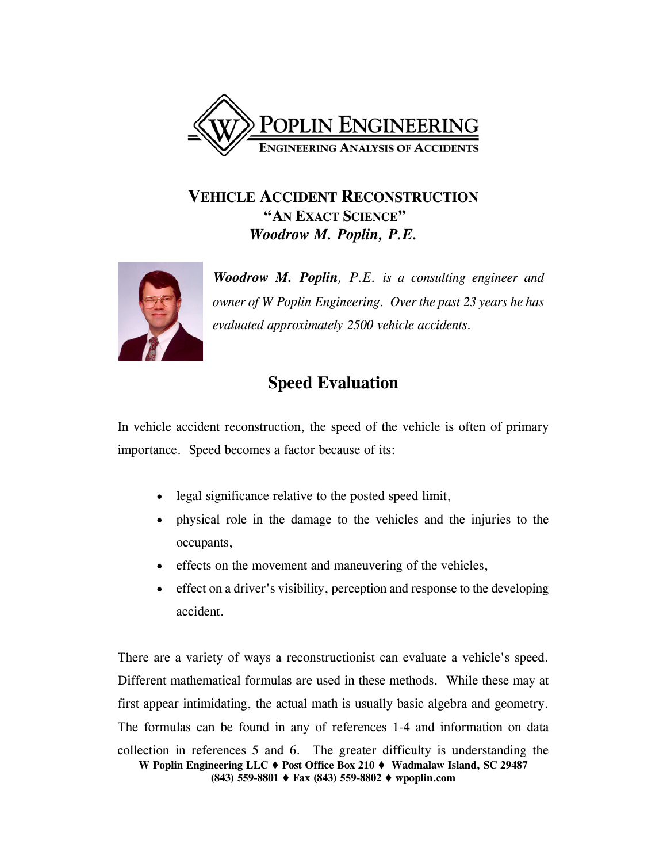

# **VEHICLE ACCIDENT RECONSTRUCTION "AN EXACT SCIENCE"**  *Woodrow M. Poplin, P.E.*



*Woodrow M. Poplin, P.E. is a consulting engineer and owner of W Poplin Engineering. Over the past 23 years he has evaluated approximately 2500 vehicle accidents.*

# **Speed Evaluation**

In vehicle accident reconstruction, the speed of the vehicle is often of primary importance. Speed becomes a factor because of its:

- legal significance relative to the posted speed limit,
- physical role in the damage to the vehicles and the injuries to the occupants,
- effects on the movement and maneuvering of the vehicles,
- effect on a driver's visibility, perception and response to the developing accident.

**W Poplin Engineering LLC Post Office Box 210 Wadmalaw Island, SC 29487 (843) 559-8801 Fax (843) 559-8802 wpoplin.com** There are a variety of ways a reconstructionist can evaluate a vehicle's speed. Different mathematical formulas are used in these methods. While these may at first appear intimidating, the actual math is usually basic algebra and geometry. The formulas can be found in any of references 1-4 and information on data collection in references 5 and 6. The greater difficulty is understanding the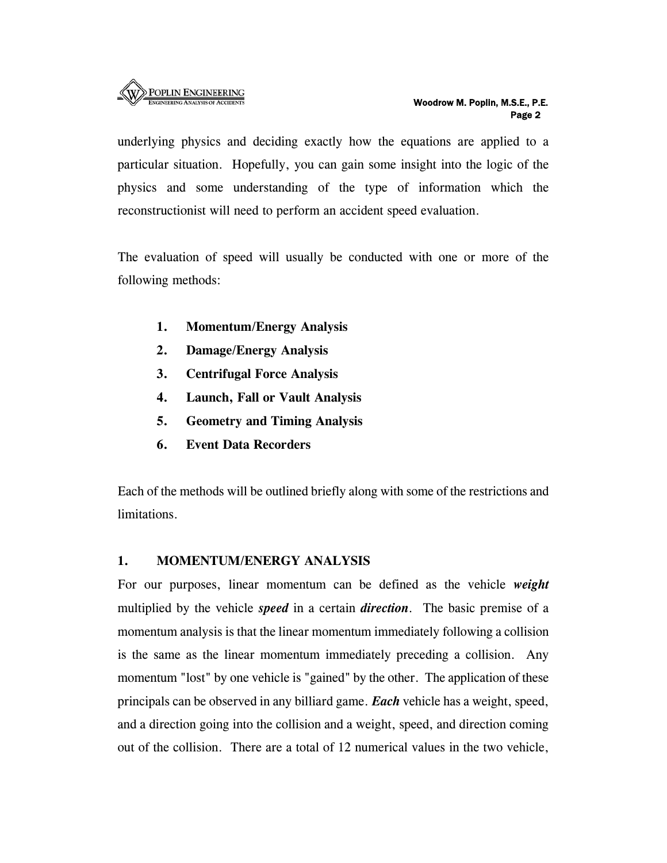

underlying physics and deciding exactly how the equations are applied to a particular situation. Hopefully, you can gain some insight into the logic of the physics and some understanding of the type of information which the reconstructionist will need to perform an accident speed evaluation.

The evaluation of speed will usually be conducted with one or more of the following methods:

- **1. Momentum/Energy Analysis**
- **2. Damage/Energy Analysis**
- **3. Centrifugal Force Analysis**
- **4. Launch, Fall or Vault Analysis**
- **5. Geometry and Timing Analysis**
- **6. Event Data Recorders**

Each of the methods will be outlined briefly along with some of the restrictions and limitations.

#### **1. MOMENTUM/ENERGY ANALYSIS**

For our purposes, linear momentum can be defined as the vehicle *weight* multiplied by the vehicle *speed* in a certain *direction*. The basic premise of a momentum analysis is that the linear momentum immediately following a collision is the same as the linear momentum immediately preceding a collision. Any momentum "lost" by one vehicle is "gained" by the other. The application of these principals can be observed in any billiard game. *Each* vehicle has a weight, speed, and a direction going into the collision and a weight, speed, and direction coming out of the collision. There are a total of 12 numerical values in the two vehicle,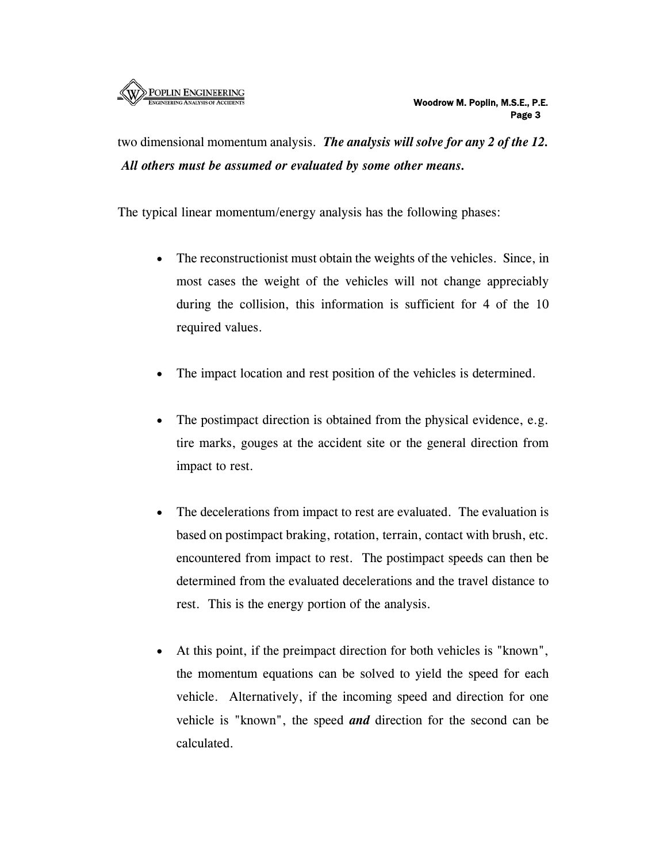

two dimensional momentum analysis. *The analysis will solve for any 2 of the 12. All others must be assumed or evaluated by some other means.*

The typical linear momentum/energy analysis has the following phases:

- The reconstructionist must obtain the weights of the vehicles. Since, in most cases the weight of the vehicles will not change appreciably during the collision, this information is sufficient for 4 of the 10 required values.
- The impact location and rest position of the vehicles is determined.
- The postimpact direction is obtained from the physical evidence, e.g. tire marks, gouges at the accident site or the general direction from impact to rest.
- The decelerations from impact to rest are evaluated. The evaluation is based on postimpact braking, rotation, terrain, contact with brush, etc. encountered from impact to rest. The postimpact speeds can then be determined from the evaluated decelerations and the travel distance to rest. This is the energy portion of the analysis.
- At this point, if the preimpact direction for both vehicles is "known", the momentum equations can be solved to yield the speed for each vehicle. Alternatively, if the incoming speed and direction for one vehicle is "known", the speed *and* direction for the second can be calculated.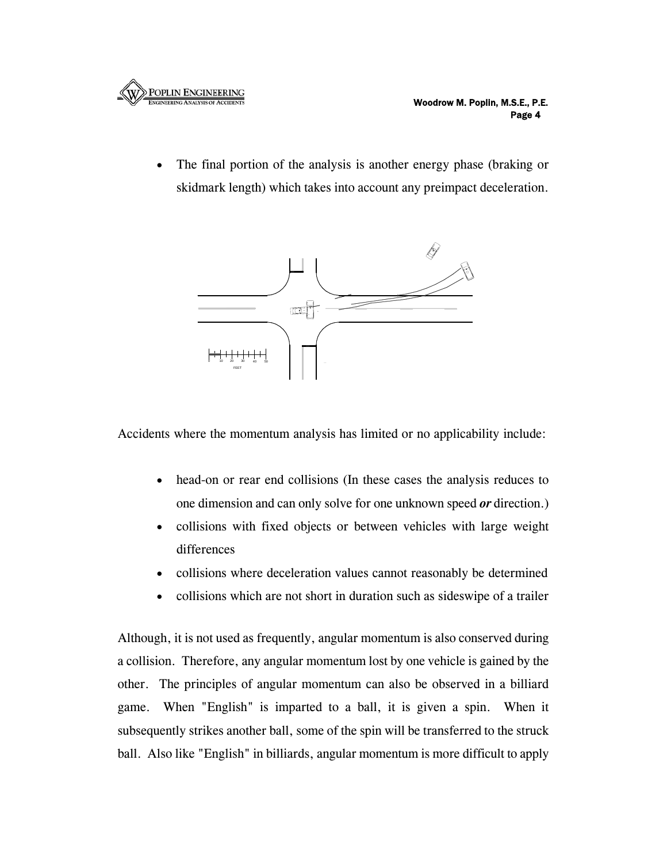

• The final portion of the analysis is another energy phase (braking or skidmark length) which takes into account any preimpact deceleration.



Accidents where the momentum analysis has limited or no applicability include:

- head-on or rear end collisions (In these cases the analysis reduces to one dimension and can only solve for one unknown speed *or* direction.)
- collisions with fixed objects or between vehicles with large weight differences
- collisions where deceleration values cannot reasonably be determined
- collisions which are not short in duration such as sideswipe of a trailer

Although, it is not used as frequently, angular momentum is also conserved during a collision. Therefore, any angular momentum lost by one vehicle is gained by the other. The principles of angular momentum can also be observed in a billiard game. When "English" is imparted to a ball, it is given a spin. When it subsequently strikes another ball, some of the spin will be transferred to the struck ball. Also like "English" in billiards, angular momentum is more difficult to apply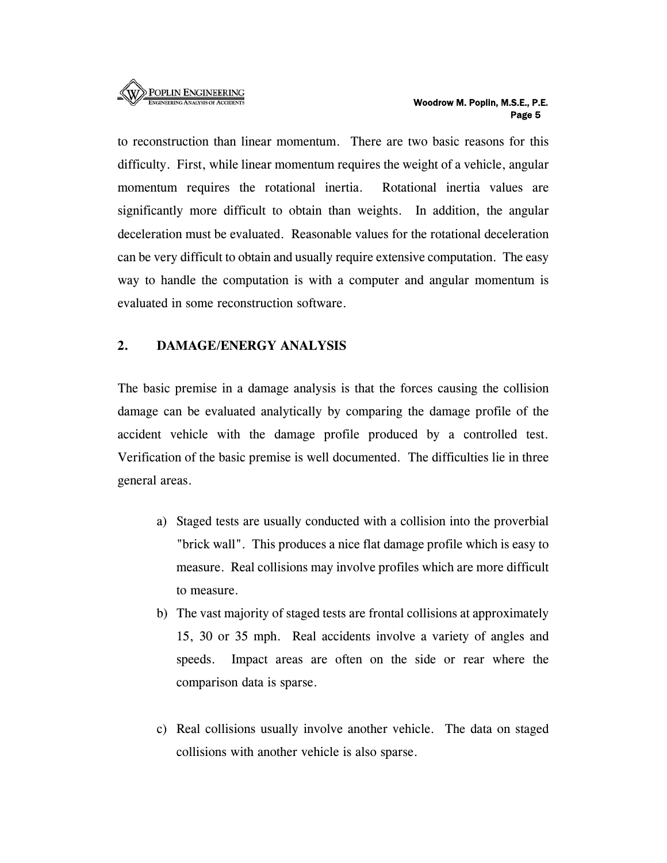

to reconstruction than linear momentum. There are two basic reasons for this difficulty. First, while linear momentum requires the weight of a vehicle, angular momentum requires the rotational inertia. Rotational inertia values are significantly more difficult to obtain than weights. In addition, the angular deceleration must be evaluated. Reasonable values for the rotational deceleration can be very difficult to obtain and usually require extensive computation. The easy way to handle the computation is with a computer and angular momentum is evaluated in some reconstruction software.

#### **2. DAMAGE/ENERGY ANALYSIS**

The basic premise in a damage analysis is that the forces causing the collision damage can be evaluated analytically by comparing the damage profile of the accident vehicle with the damage profile produced by a controlled test. Verification of the basic premise is well documented. The difficulties lie in three general areas.

- a) Staged tests are usually conducted with a collision into the proverbial "brick wall". This produces a nice flat damage profile which is easy to measure. Real collisions may involve profiles which are more difficult to measure.
- b) The vast majority of staged tests are frontal collisions at approximately 15, 30 or 35 mph. Real accidents involve a variety of angles and speeds. Impact areas are often on the side or rear where the comparison data is sparse.
- c) Real collisions usually involve another vehicle. The data on staged collisions with another vehicle is also sparse.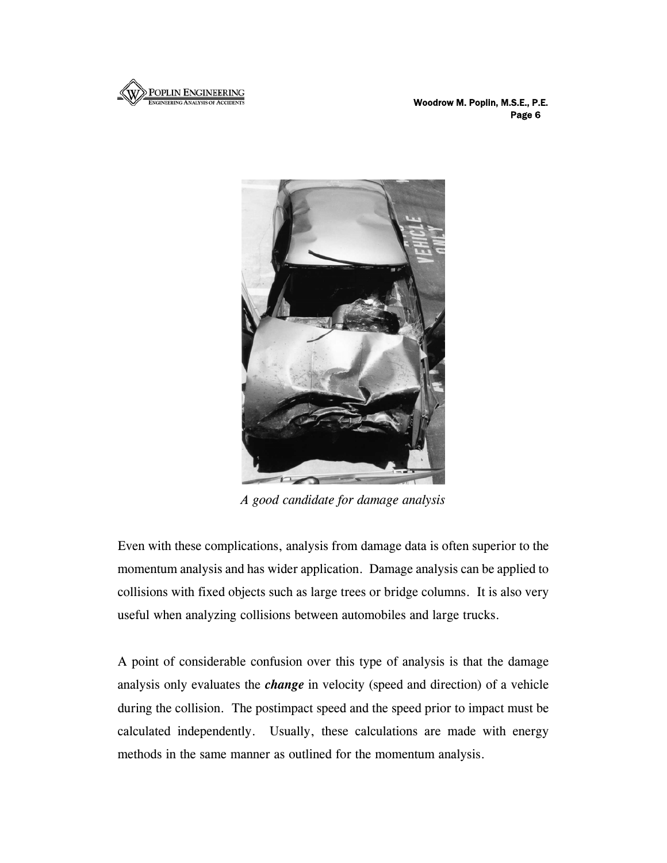

 Woodrow M. Poplin, M.S.E., P.E. en de la provincia de la provincia de la provincia de la provincia de la provincia de la provincia de la provi



*A good candidate for damage analysis* 

Even with these complications, analysis from damage data is often superior to the momentum analysis and has wider application. Damage analysis can be applied to collisions with fixed objects such as large trees or bridge columns. It is also very useful when analyzing collisions between automobiles and large trucks.

A point of considerable confusion over this type of analysis is that the damage analysis only evaluates the *change* in velocity (speed and direction) of a vehicle during the collision. The postimpact speed and the speed prior to impact must be calculated independently. Usually, these calculations are made with energy methods in the same manner as outlined for the momentum analysis.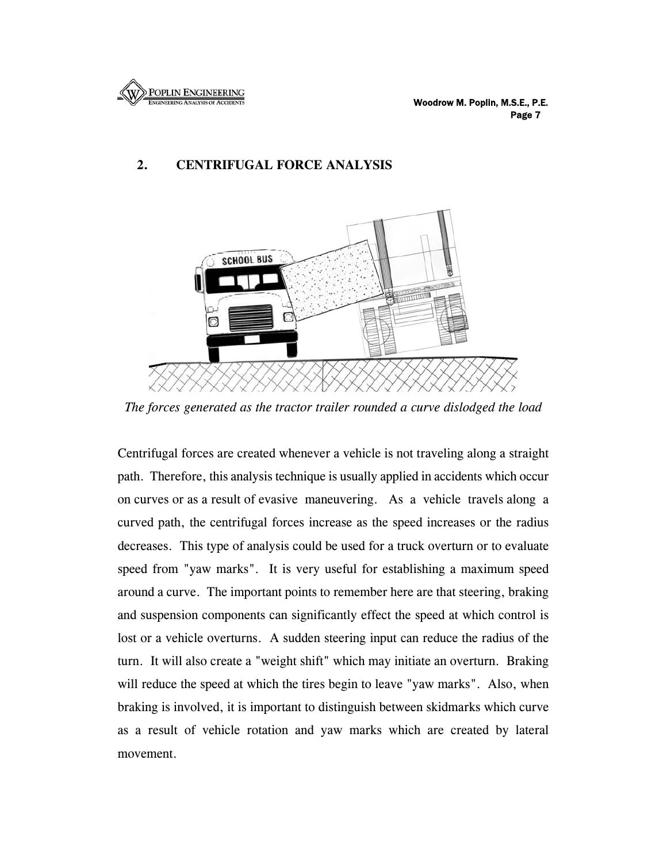

### **2. CENTRIFUGAL FORCE ANALYSIS**



*The forces generated as the tractor trailer rounded a curve dislodged the load* 

Centrifugal forces are created whenever a vehicle is not traveling along a straight path. Therefore, this analysis technique is usually applied in accidents which occur on curves or as a result of evasive maneuvering. As a vehicle travels along a curved path, the centrifugal forces increase as the speed increases or the radius decreases. This type of analysis could be used for a truck overturn or to evaluate speed from "yaw marks". It is very useful for establishing a maximum speed around a curve. The important points to remember here are that steering, braking and suspension components can significantly effect the speed at which control is lost or a vehicle overturns. A sudden steering input can reduce the radius of the turn. It will also create a "weight shift" which may initiate an overturn. Braking will reduce the speed at which the tires begin to leave "yaw marks". Also, when braking is involved, it is important to distinguish between skidmarks which curve as a result of vehicle rotation and yaw marks which are created by lateral movement.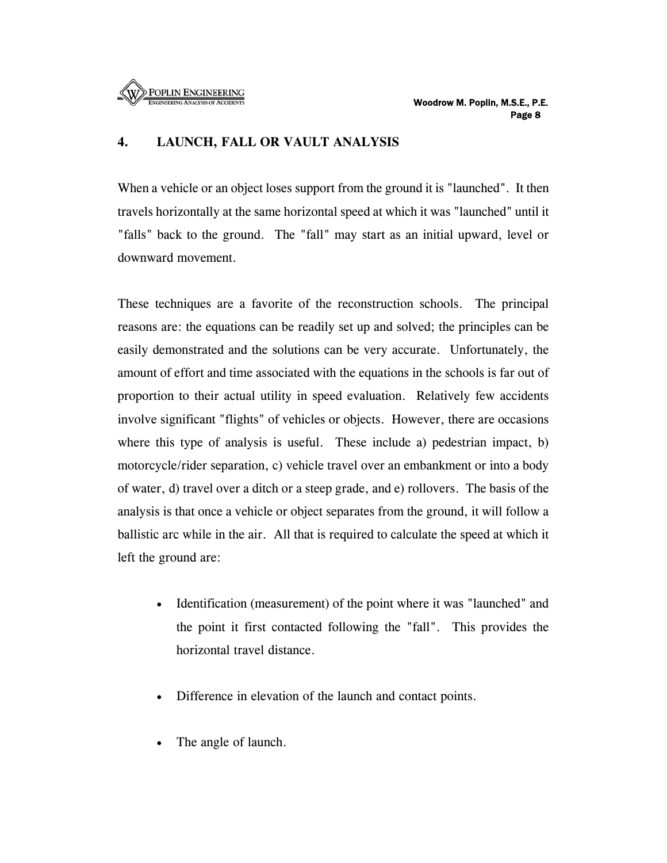

#### **4. LAUNCH, FALL OR VAULT ANALYSIS**

When a vehicle or an object loses support from the ground it is "launched". It then travels horizontally at the same horizontal speed at which it was "launched" until it "falls" back to the ground. The "fall" may start as an initial upward, level or downward movement.

These techniques are a favorite of the reconstruction schools. The principal reasons are: the equations can be readily set up and solved; the principles can be easily demonstrated and the solutions can be very accurate. Unfortunately, the amount of effort and time associated with the equations in the schools is far out of proportion to their actual utility in speed evaluation. Relatively few accidents involve significant "flights" of vehicles or objects. However, there are occasions where this type of analysis is useful. These include a) pedestrian impact, b) motorcycle/rider separation, c) vehicle travel over an embankment or into a body of water, d) travel over a ditch or a steep grade, and e) rollovers. The basis of the analysis is that once a vehicle or object separates from the ground, it will follow a ballistic arc while in the air. All that is required to calculate the speed at which it left the ground are:

- Identification (measurement) of the point where it was "launched" and the point it first contacted following the "fall". This provides the horizontal travel distance.
- Difference in elevation of the launch and contact points.
- The angle of launch.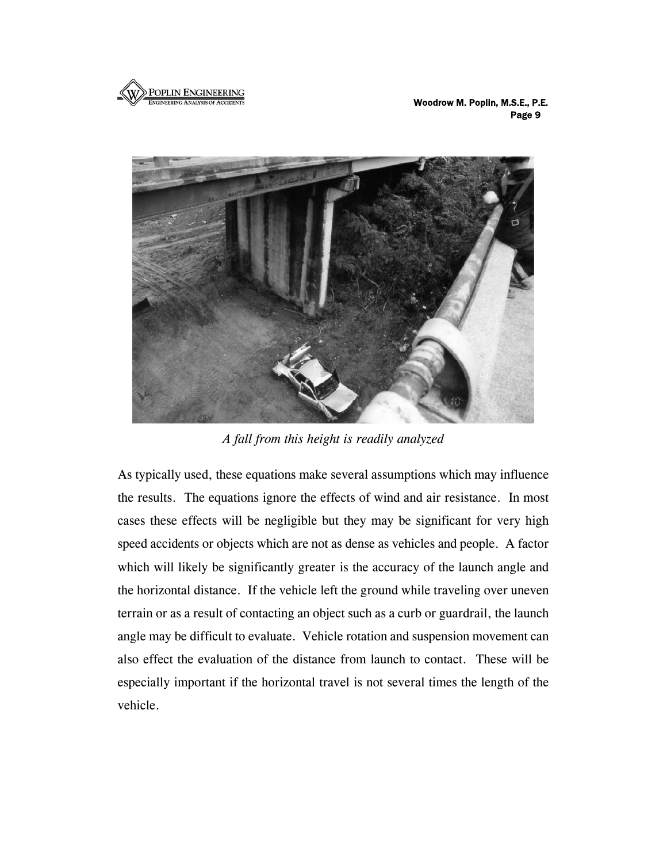

 Woodrow M. Poplin, M.S.E., P.E. results and the contract of the contract of the contract of the contract of the contract of the contract of the contract of the contract of the contract of the contract of the contract of the contract of the contract of th



*A fall from this height is readily analyzed* 

As typically used, these equations make several assumptions which may influence the results. The equations ignore the effects of wind and air resistance. In most cases these effects will be negligible but they may be significant for very high speed accidents or objects which are not as dense as vehicles and people. A factor which will likely be significantly greater is the accuracy of the launch angle and the horizontal distance. If the vehicle left the ground while traveling over uneven terrain or as a result of contacting an object such as a curb or guardrail, the launch angle may be difficult to evaluate. Vehicle rotation and suspension movement can also effect the evaluation of the distance from launch to contact. These will be especially important if the horizontal travel is not several times the length of the vehicle.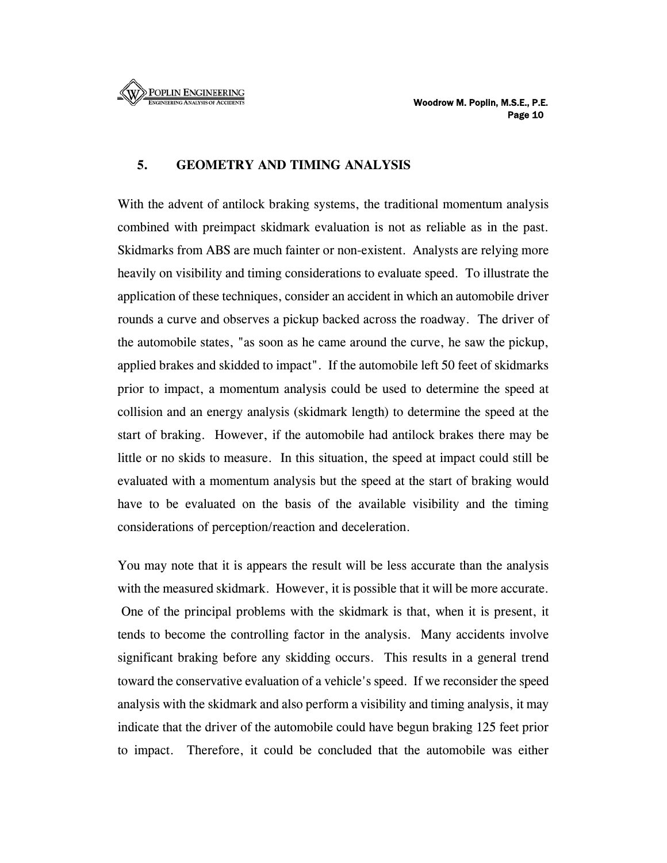

#### **5. GEOMETRY AND TIMING ANALYSIS**

With the advent of antilock braking systems, the traditional momentum analysis combined with preimpact skidmark evaluation is not as reliable as in the past. Skidmarks from ABS are much fainter or non-existent. Analysts are relying more heavily on visibility and timing considerations to evaluate speed. To illustrate the application of these techniques, consider an accident in which an automobile driver rounds a curve and observes a pickup backed across the roadway. The driver of the automobile states, "as soon as he came around the curve, he saw the pickup, applied brakes and skidded to impact". If the automobile left 50 feet of skidmarks prior to impact, a momentum analysis could be used to determine the speed at collision and an energy analysis (skidmark length) to determine the speed at the start of braking. However, if the automobile had antilock brakes there may be little or no skids to measure. In this situation, the speed at impact could still be evaluated with a momentum analysis but the speed at the start of braking would have to be evaluated on the basis of the available visibility and the timing considerations of perception/reaction and deceleration.

You may note that it is appears the result will be less accurate than the analysis with the measured skidmark. However, it is possible that it will be more accurate. One of the principal problems with the skidmark is that, when it is present, it tends to become the controlling factor in the analysis. Many accidents involve significant braking before any skidding occurs. This results in a general trend toward the conservative evaluation of a vehicle's speed. If we reconsider the speed analysis with the skidmark and also perform a visibility and timing analysis, it may indicate that the driver of the automobile could have begun braking 125 feet prior to impact. Therefore, it could be concluded that the automobile was either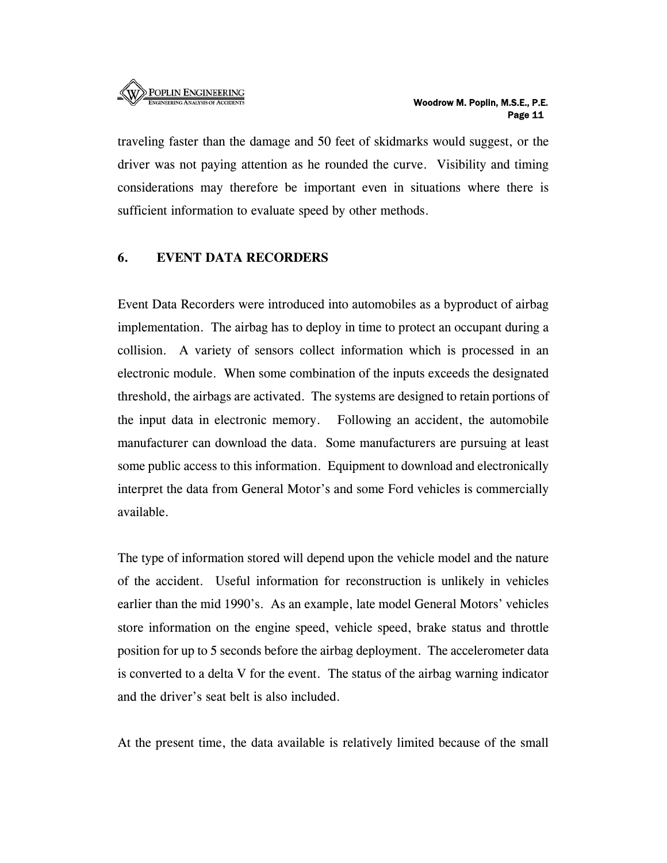

traveling faster than the damage and 50 feet of skidmarks would suggest, or the driver was not paying attention as he rounded the curve. Visibility and timing considerations may therefore be important even in situations where there is sufficient information to evaluate speed by other methods.

#### **6. EVENT DATA RECORDERS**

Event Data Recorders were introduced into automobiles as a byproduct of airbag implementation. The airbag has to deploy in time to protect an occupant during a collision. A variety of sensors collect information which is processed in an electronic module. When some combination of the inputs exceeds the designated threshold, the airbags are activated. The systems are designed to retain portions of the input data in electronic memory. Following an accident, the automobile manufacturer can download the data. Some manufacturers are pursuing at least some public access to this information. Equipment to download and electronically interpret the data from General Motor's and some Ford vehicles is commercially available.

The type of information stored will depend upon the vehicle model and the nature of the accident. Useful information for reconstruction is unlikely in vehicles earlier than the mid 1990's. As an example, late model General Motors' vehicles store information on the engine speed, vehicle speed, brake status and throttle position for up to 5 seconds before the airbag deployment. The accelerometer data is converted to a delta V for the event. The status of the airbag warning indicator and the driver's seat belt is also included.

At the present time, the data available is relatively limited because of the small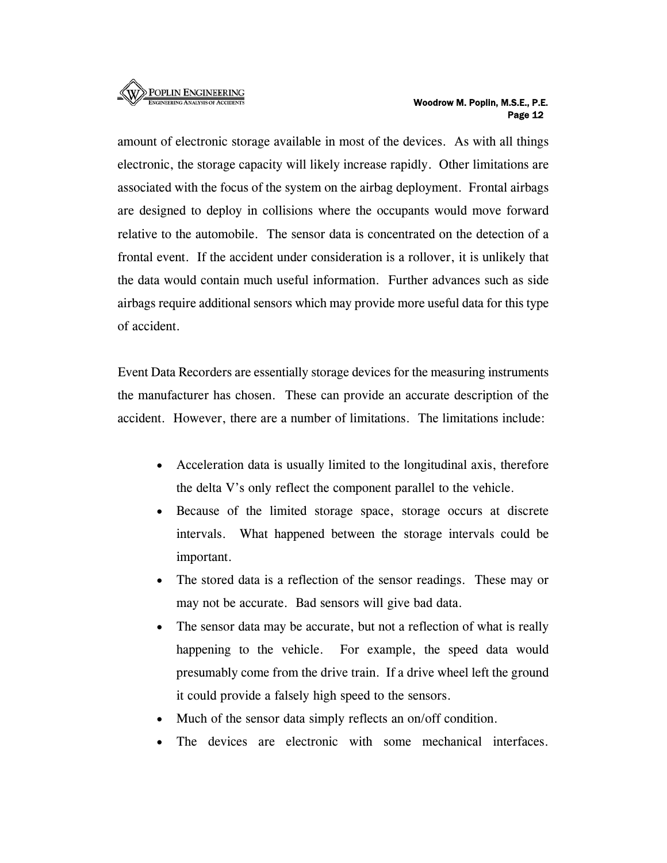

amount of electronic storage available in most of the devices. As with all things electronic, the storage capacity will likely increase rapidly. Other limitations are associated with the focus of the system on the airbag deployment. Frontal airbags are designed to deploy in collisions where the occupants would move forward relative to the automobile. The sensor data is concentrated on the detection of a frontal event. If the accident under consideration is a rollover, it is unlikely that the data would contain much useful information. Further advances such as side airbags require additional sensors which may provide more useful data for this type of accident.

Event Data Recorders are essentially storage devices for the measuring instruments the manufacturer has chosen. These can provide an accurate description of the accident. However, there are a number of limitations. The limitations include:

- Acceleration data is usually limited to the longitudinal axis, therefore the delta V's only reflect the component parallel to the vehicle.
- Because of the limited storage space, storage occurs at discrete intervals. What happened between the storage intervals could be important.
- The stored data is a reflection of the sensor readings. These may or may not be accurate. Bad sensors will give bad data.
- The sensor data may be accurate, but not a reflection of what is really happening to the vehicle. For example, the speed data would presumably come from the drive train. If a drive wheel left the ground it could provide a falsely high speed to the sensors.
- Much of the sensor data simply reflects an on/off condition.
- The devices are electronic with some mechanical interfaces.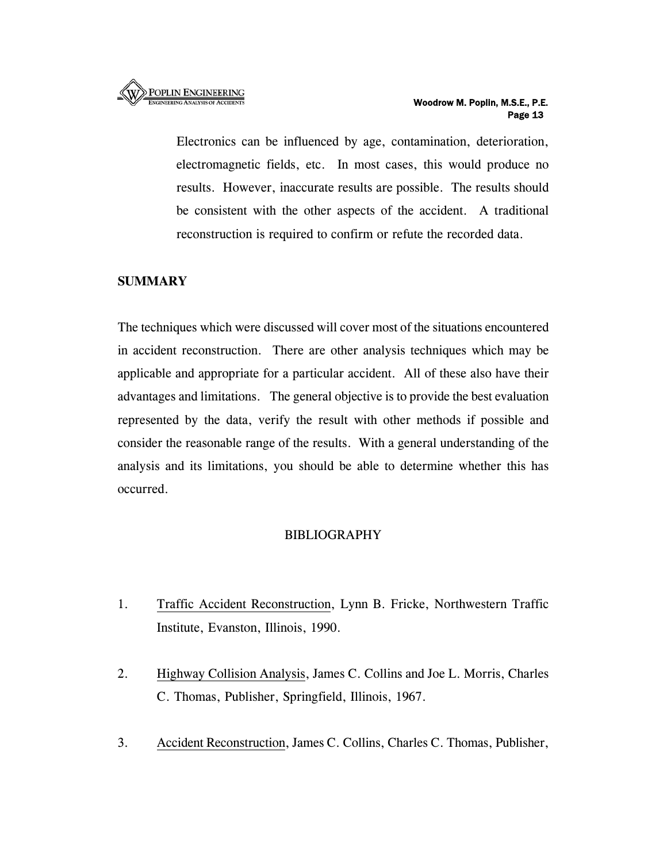Electronics can be influenced by age, contamination, deterioration, electromagnetic fields, etc. In most cases, this would produce no results. However, inaccurate results are possible. The results should be consistent with the other aspects of the accident. A traditional reconstruction is required to confirm or refute the recorded data.

# **SUMMARY**

The techniques which were discussed will cover most of the situations encountered in accident reconstruction. There are other analysis techniques which may be applicable and appropriate for a particular accident. All of these also have their advantages and limitations. The general objective is to provide the best evaluation represented by the data, verify the result with other methods if possible and consider the reasonable range of the results. With a general understanding of the analysis and its limitations, you should be able to determine whether this has occurred.

# BIBLIOGRAPHY

- 1. Traffic Accident Reconstruction, Lynn B. Fricke, Northwestern Traffic Institute, Evanston, Illinois, 1990.
- 2. Highway Collision Analysis, James C. Collins and Joe L. Morris, Charles C. Thomas, Publisher, Springfield, Illinois, 1967.
- 3. Accident Reconstruction, James C. Collins, Charles C. Thomas, Publisher,